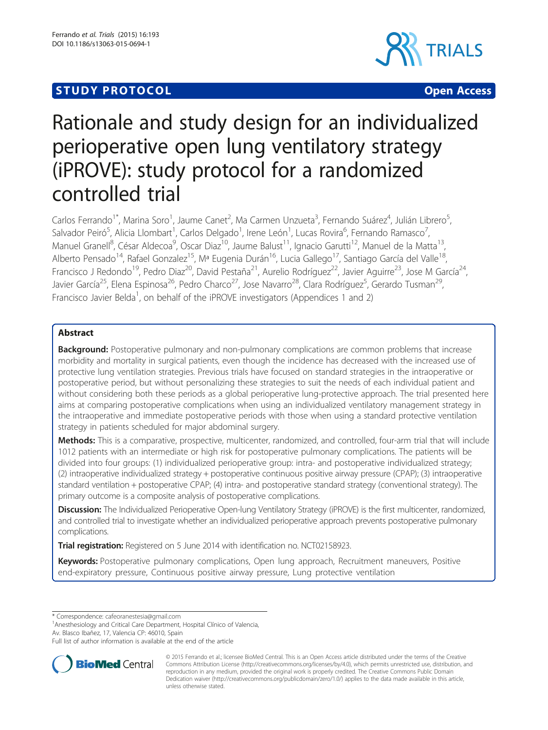# **STUDY PROTOCOL CONSUMING THE CONSUMING OPEN ACCESS**



# Rationale and study design for an individualized perioperative open lung ventilatory strategy (iPROVE): study protocol for a randomized controlled trial

Carlos Ferrando<sup>1\*</sup>, Marina Soro<sup>1</sup>, Jaume Canet<sup>2</sup>, Ma Carmen Unzueta<sup>3</sup>, Fernando Suárez<sup>4</sup>, Julián Librero<sup>5</sup> , Salvador Peiró<sup>5</sup>, Alicia Llombart<sup>1</sup>, Carlos Delgado<sup>1</sup>, Irene León<sup>1</sup>, Lucas Rovira<sup>6</sup>, Fernando Ramasco<sup>7</sup> , Manuel Granell<sup>8</sup>, César Aldecoa<sup>9</sup>, Oscar Diaz<sup>10</sup>, Jaume Balust<sup>11</sup>, Ignacio Garutti<sup>12</sup>, Manuel de la Matta<sup>13</sup>, Alberto Pensado<sup>14</sup>, Rafael Gonzalez<sup>15</sup>, Mª Eugenia Durán<sup>16</sup>, Lucia Gallego<sup>17</sup>, Santiago García del Valle<sup>18</sup>, Francisco J Redondo<sup>19</sup>, Pedro Diaz<sup>20</sup>, David Pestaña<sup>21</sup>, Aurelio Rodríguez<sup>22</sup>, Javier Aguirre<sup>23</sup>, Jose M García<sup>24</sup>, Javier García<sup>25</sup>, Elena Espinosa<sup>26</sup>, Pedro Charco<sup>27</sup>, Jose Navarro<sup>28</sup>, Clara Rodríguez<sup>5</sup>, Gerardo Tusman<sup>29</sup>, Francisco Javier Belda<sup>1</sup>, on behalf of the iPROVE investigators (Appendices 1 and 2)

# Abstract

**Background:** Postoperative pulmonary and non-pulmonary complications are common problems that increase morbidity and mortality in surgical patients, even though the incidence has decreased with the increased use of protective lung ventilation strategies. Previous trials have focused on standard strategies in the intraoperative or postoperative period, but without personalizing these strategies to suit the needs of each individual patient and without considering both these periods as a global perioperative lung-protective approach. The trial presented here aims at comparing postoperative complications when using an individualized ventilatory management strategy in the intraoperative and immediate postoperative periods with those when using a standard protective ventilation strategy in patients scheduled for major abdominal surgery.

Methods: This is a comparative, prospective, multicenter, randomized, and controlled, four-arm trial that will include 1012 patients with an intermediate or high risk for postoperative pulmonary complications. The patients will be divided into four groups: (1) individualized perioperative group: intra- and postoperative individualized strategy; (2) intraoperative individualized strategy + postoperative continuous positive airway pressure (CPAP); (3) intraoperative standard ventilation + postoperative CPAP; (4) intra- and postoperative standard strategy (conventional strategy). The primary outcome is a composite analysis of postoperative complications.

Discussion: The Individualized Perioperative Open-lung Ventilatory Strategy (iPROVE) is the first multicenter, randomized, and controlled trial to investigate whether an individualized perioperative approach prevents postoperative pulmonary complications.

Trial registration: Registered on 5 June 2014 with identification no. [NCT02158923](http://www.clinicaltrials.gov).

Keywords: Postoperative pulmonary complications, Open lung approach, Recruitment maneuvers, Positive end-expiratory pressure, Continuous positive airway pressure, Lung protective ventilation

<sup>1</sup> Anesthesiology and Critical Care Department, Hospital Clínico of Valencia, Av. Blasco Ibañez, 17, Valencia CP: 46010, Spain

Full list of author information is available at the end of the article



<sup>© 2015</sup> Ferrando et al.; licensee BioMed Central. This is an Open Access article distributed under the terms of the Creative Commons Attribution License [\(http://creativecommons.org/licenses/by/4.0\)](http://creativecommons.org/licenses/by/4.0), which permits unrestricted use, distribution, and reproduction in any medium, provided the original work is properly credited. The Creative Commons Public Domain Dedication waiver [\(http://creativecommons.org/publicdomain/zero/1.0/](http://creativecommons.org/publicdomain/zero/1.0/)) applies to the data made available in this article, unless otherwise stated.

<sup>\*</sup> Correspondence: [cafeoranestesia@gmail.com](mailto:cafeoranestesia@gmail.com) <sup>1</sup>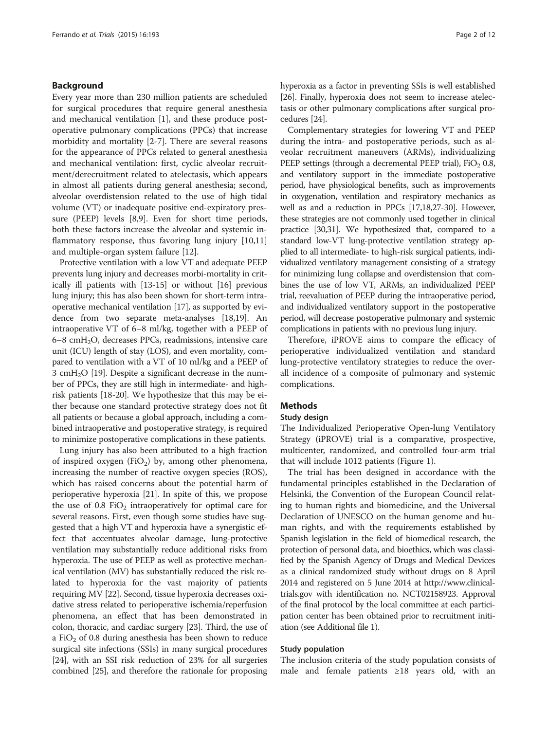### Background

Every year more than 230 million patients are scheduled for surgical procedures that require general anesthesia and mechanical ventilation [\[1](#page-10-0)], and these produce postoperative pulmonary complications (PPCs) that increase morbidity and mortality [[2-7\]](#page-10-0). There are several reasons for the appearance of PPCs related to general anesthesia and mechanical ventilation: first, cyclic alveolar recruitment/derecruitment related to atelectasis, which appears in almost all patients during general anesthesia; second, alveolar overdistension related to the use of high tidal volume (VT) or inadequate positive end-expiratory pressure (PEEP) levels [[8,9\]](#page-10-0). Even for short time periods, both these factors increase the alveolar and systemic in-flammatory response, thus favoring lung injury [[10](#page-10-0),[11](#page-10-0)] and multiple-organ system failure [[12\]](#page-10-0).

Protective ventilation with a low VT and adequate PEEP prevents lung injury and decreases morbi-mortality in critically ill patients with [\[13-15\]](#page-10-0) or without [\[16\]](#page-10-0) previous lung injury; this has also been shown for short-term intraoperative mechanical ventilation [\[17\]](#page-10-0), as supported by evidence from two separate meta-analyses [\[18,19](#page-10-0)]. An intraoperative VT of 6–8 ml/kg, together with a PEEP of 6–8 cmH2O, decreases PPCs, readmissions, intensive care unit (ICU) length of stay (LOS), and even mortality, compared to ventilation with a VT of 10 ml/kg and a PEEP of 3 cm $H<sub>2</sub>O$  [[19\]](#page-10-0). Despite a significant decrease in the number of PPCs, they are still high in intermediate- and highrisk patients [\[18-20](#page-10-0)]. We hypothesize that this may be either because one standard protective strategy does not fit all patients or because a global approach, including a combined intraoperative and postoperative strategy, is required to minimize postoperative complications in these patients.

Lung injury has also been attributed to a high fraction of inspired oxygen (FiO<sub>2</sub>) by, among other phenomena, increasing the number of reactive oxygen species (ROS), which has raised concerns about the potential harm of perioperative hyperoxia [\[21\]](#page-10-0). In spite of this, we propose the use of  $0.8$  FiO<sub>2</sub> intraoperatively for optimal care for several reasons. First, even though some studies have suggested that a high VT and hyperoxia have a synergistic effect that accentuates alveolar damage, lung-protective ventilation may substantially reduce additional risks from hyperoxia. The use of PEEP as well as protective mechanical ventilation (MV) has substantially reduced the risk related to hyperoxia for the vast majority of patients requiring MV [\[22\]](#page-10-0). Second, tissue hyperoxia decreases oxidative stress related to perioperative ischemia/reperfusion phenomena, an effect that has been demonstrated in colon, thoracic, and cardiac surgery [[23](#page-10-0)]. Third, the use of a FiO<sub>2</sub> of 0.8 during anesthesia has been shown to reduce surgical site infections (SSIs) in many surgical procedures [[24](#page-10-0)], with an SSI risk reduction of 23% for all surgeries combined [\[25\]](#page-10-0), and therefore the rationale for proposing hyperoxia as a factor in preventing SSIs is well established [[26](#page-10-0)]. Finally, hyperoxia does not seem to increase atelectasis or other pulmonary complications after surgical procedures [[24\]](#page-10-0).

Complementary strategies for lowering VT and PEEP during the intra- and postoperative periods, such as alveolar recruitment maneuvers (ARMs), individualizing PEEP settings (through a decremental PEEP trial),  $FiO<sub>2</sub> 0.8$ , and ventilatory support in the immediate postoperative period, have physiological benefits, such as improvements in oxygenation, ventilation and respiratory mechanics as well as and a reduction in PPCs [\[17,18,27-30](#page-10-0)]. However, these strategies are not commonly used together in clinical practice [\[30,31](#page-10-0)]. We hypothesized that, compared to a standard low-VT lung-protective ventilation strategy applied to all intermediate- to high-risk surgical patients, individualized ventilatory management consisting of a strategy for minimizing lung collapse and overdistension that combines the use of low VT, ARMs, an individualized PEEP trial, reevaluation of PEEP during the intraoperative period, and individualized ventilatory support in the postoperative period, will decrease postoperative pulmonary and systemic complications in patients with no previous lung injury.

Therefore, iPROVE aims to compare the efficacy of perioperative individualized ventilation and standard lung-protective ventilatory strategies to reduce the overall incidence of a composite of pulmonary and systemic complications.

#### Methods

#### Study design

The Individualized Perioperative Open-lung Ventilatory Strategy (iPROVE) trial is a comparative, prospective, multicenter, randomized, and controlled four-arm trial that will include 1012 patients (Figure [1\)](#page-2-0).

The trial has been designed in accordance with the fundamental principles established in the Declaration of Helsinki, the Convention of the European Council relating to human rights and biomedicine, and the Universal Declaration of UNESCO on the human genome and human rights, and with the requirements established by Spanish legislation in the field of biomedical research, the protection of personal data, and bioethics, which was classified by the Spanish Agency of Drugs and Medical Devices as a clinical randomized study without drugs on 8 April 2014 and registered on 5 June 2014 at [http://www.clinical](http://www.clinicaltrials.gov)[trials.gov](http://www.clinicaltrials.gov) with identification no. NCT02158923. Approval of the final protocol by the local committee at each participation center has been obtained prior to recruitment initiation (see Additional file [1\)](#page-9-0).

# Study population

The inclusion criteria of the study population consists of male and female patients ≥18 years old, with an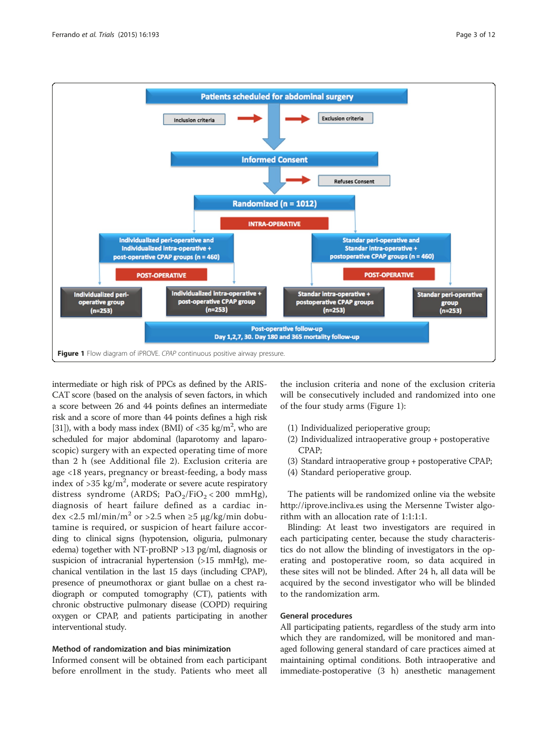<span id="page-2-0"></span>

intermediate or high risk of PPCs as defined by the ARIS-CAT score (based on the analysis of seven factors, in which a score between 26 and 44 points defines an intermediate risk and a score of more than 44 points defines a high risk [[31](#page-10-0)]), with a body mass index (BMI) of  $<$ 35 kg/m<sup>2</sup>, who are scheduled for major abdominal (laparotomy and laparoscopic) surgery with an expected operating time of more than 2 h (see Additional file [2\)](#page-9-0). Exclusion criteria are age <18 years, pregnancy or breast-feeding, a body mass index of  $>$ 35 kg/m<sup>2</sup>, moderate or severe acute respiratory distress syndrome (ARDS;  $PaO<sub>2</sub>/FiO<sub>2</sub> < 200 mmHg$ ), diagnosis of heart failure defined as a cardiac in- $\text{dex}$  <2.5 ml/min/m<sup>2</sup> or >2.5 when  $\geq$ 5 µg/kg/min dobutamine is required, or suspicion of heart failure according to clinical signs (hypotension, oliguria, pulmonary edema) together with NT-proBNP >13 pg/ml, diagnosis or suspicion of intracranial hypertension (>15 mmHg), mechanical ventilation in the last 15 days (including CPAP), presence of pneumothorax or giant bullae on a chest radiograph or computed tomography (CT), patients with chronic obstructive pulmonary disease (COPD) requiring oxygen or CPAP, and patients participating in another interventional study.

#### Method of randomization and bias minimization

Informed consent will be obtained from each participant before enrollment in the study. Patients who meet all the inclusion criteria and none of the exclusion criteria will be consecutively included and randomized into one of the four study arms (Figure 1):

- (1) Individualized perioperative group;
- (2) Individualized intraoperative group + postoperative CPAP;
- (3) Standard intraoperative group + postoperative CPAP;
- (4) Standard perioperative group.

The patients will be randomized online via the website <http://iprove.incliva.es> using the Mersenne Twister algorithm with an allocation rate of 1:1:1:1.

Blinding: At least two investigators are required in each participating center, because the study characteristics do not allow the blinding of investigators in the operating and postoperative room, so data acquired in these sites will not be blinded. After 24 h, all data will be acquired by the second investigator who will be blinded to the randomization arm.

# General procedures

All participating patients, regardless of the study arm into which they are randomized, will be monitored and managed following general standard of care practices aimed at maintaining optimal conditions. Both intraoperative and immediate-postoperative (3 h) anesthetic management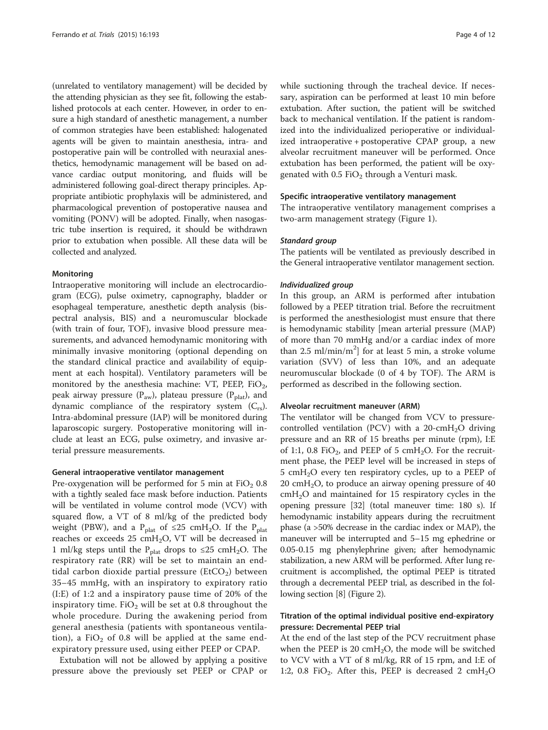(unrelated to ventilatory management) will be decided by the attending physician as they see fit, following the established protocols at each center. However, in order to ensure a high standard of anesthetic management, a number of common strategies have been established: halogenated agents will be given to maintain anesthesia, intra- and postoperative pain will be controlled with neuraxial anesthetics, hemodynamic management will be based on advance cardiac output monitoring, and fluids will be administered following goal-direct therapy principles. Appropriate antibiotic prophylaxis will be administered, and pharmacological prevention of postoperative nausea and vomiting (PONV) will be adopted. Finally, when nasogastric tube insertion is required, it should be withdrawn prior to extubation when possible. All these data will be collected and analyzed.

#### Monitoring

Intraoperative monitoring will include an electrocardiogram (ECG), pulse oximetry, capnography, bladder or esophageal temperature, anesthetic depth analysis (bispectral analysis, BIS) and a neuromuscular blockade (with train of four, TOF), invasive blood pressure measurements, and advanced hemodynamic monitoring with minimally invasive monitoring (optional depending on the standard clinical practice and availability of equipment at each hospital). Ventilatory parameters will be monitored by the anesthesia machine: VT, PEEP, FiO<sub>2</sub>, peak airway pressure ( $P_{\text{aw}}$ ), plateau pressure ( $P_{\text{plat}}$ ), and dynamic compliance of the respiratory system  $(C_{rs})$ . Intra-abdominal pressure (IAP) will be monitored during laparoscopic surgery. Postoperative monitoring will include at least an ECG, pulse oximetry, and invasive arterial pressure measurements.

#### General intraoperative ventilator management

Pre-oxygenation will be performed for 5 min at  $FiO<sub>2</sub> 0.8$ with a tightly sealed face mask before induction. Patients will be ventilated in volume control mode (VCV) with squared flow, a VT of 8 ml/kg of the predicted body weight (PBW), and a P<sub>plat</sub> of ≤25 cmH<sub>2</sub>O. If the P<sub>plat</sub> reaches or exceeds  $25 \text{ cm}H_2O$ , VT will be decreased in 1 ml/kg steps until the P<sub>plat</sub> drops to ≤25 cmH<sub>2</sub>O. The respiratory rate (RR) will be set to maintain an endtidal carbon dioxide partial pressure ( $E<sub>1</sub>CO<sub>2</sub>$ ) between 35–45 mmHg, with an inspiratory to expiratory ratio (I:E) of 1:2 and a inspiratory pause time of 20% of the inspiratory time. FiO<sub>2</sub> will be set at 0.8 throughout the whole procedure. During the awakening period from general anesthesia (patients with spontaneous ventilation), a FiO<sub>2</sub> of 0.8 will be applied at the same endexpiratory pressure used, using either PEEP or CPAP.

Extubation will not be allowed by applying a positive pressure above the previously set PEEP or CPAP or while suctioning through the tracheal device. If necessary, aspiration can be performed at least 10 min before extubation. After suction, the patient will be switched back to mechanical ventilation. If the patient is randomized into the individualized perioperative or individualized intraoperative + postoperative CPAP group, a new alveolar recruitment maneuver will be performed. Once extubation has been performed, the patient will be oxygenated with  $0.5$  FiO<sub>2</sub> through a Venturi mask.

#### Specific intraoperative ventilatory management

The intraoperative ventilatory management comprises a two-arm management strategy (Figure [1\)](#page-2-0).

#### Standard group

The patients will be ventilated as previously described in the General intraoperative ventilator management section.

#### Individualized group

In this group, an ARM is performed after intubation followed by a PEEP titration trial. Before the recruitment is performed the anesthesiologist must ensure that there is hemodynamic stability [mean arterial pressure (MAP) of more than 70 mmHg and/or a cardiac index of more than 2.5 ml/min/m<sup>2</sup>] for at least 5 min, a stroke volume variation (SVV) of less than 10%, and an adequate neuromuscular blockade (0 of 4 by TOF). The ARM is performed as described in the following section.

#### Alveolar recruitment maneuver (ARM)

The ventilator will be changed from VCV to pressurecontrolled ventilation (PCV) with a  $20$ -cmH<sub>2</sub>O driving pressure and an RR of 15 breaths per minute (rpm), I:E of 1:1, 0.8 FiO<sub>2</sub>, and PEEP of 5 cmH<sub>2</sub>O. For the recruitment phase, the PEEP level will be increased in steps of 5 cm $H_2O$  every ten respiratory cycles, up to a PEEP of 20 cmH<sub>2</sub>O, to produce an airway opening pressure of 40  $cmH<sub>2</sub>O$  and maintained for 15 respiratory cycles in the opening pressure [\[32\]](#page-10-0) (total maneuver time: 180 s). If hemodynamic instability appears during the recruitment phase (a >50% decrease in the cardiac index or MAP), the maneuver will be interrupted and 5–15 mg ephedrine or 0.05-0.15 mg phenylephrine given; after hemodynamic stabilization, a new ARM will be performed. After lung recruitment is accomplished, the optimal PEEP is titrated through a decremental PEEP trial, as described in the following section [\[8\]](#page-10-0) (Figure [2](#page-4-0)).

# Titration of the optimal individual positive end-expiratory pressure: Decremental PEEP trial

At the end of the last step of the PCV recruitment phase when the PEEP is 20  $\text{cm}H_2O$ , the mode will be switched to VCV with a VT of 8 ml/kg, RR of 15 rpm, and I:E of 1:2, 0.8 FiO<sub>2</sub>. After this, PEEP is decreased 2  $\text{cm}H_2\text{O}$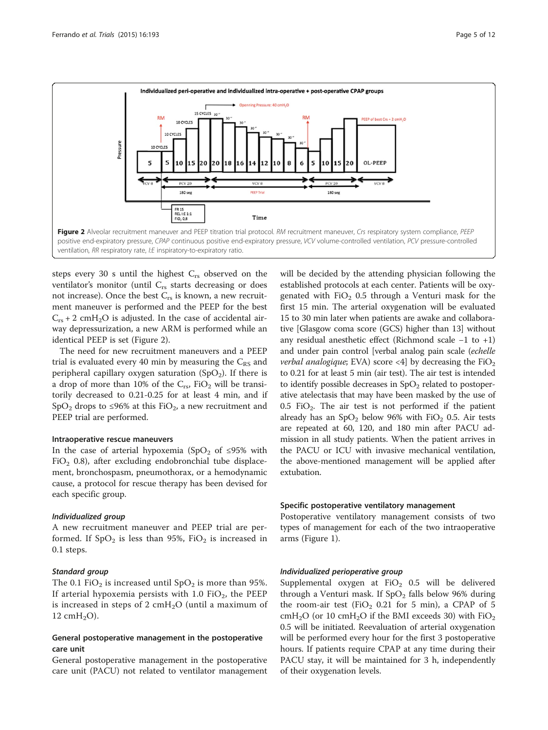<span id="page-4-0"></span>

steps every 30 s until the highest  $C_{rs}$  observed on the ventilator's monitor (until  $C_{rs}$  starts decreasing or does not increase). Once the best  $C_{rs}$  is known, a new recruitment maneuver is performed and the PEEP for the best  $C_{rs}$  + 2 cmH<sub>2</sub>O is adjusted. In the case of accidental airway depressurization, a new ARM is performed while an identical PEEP is set (Figure 2).

The need for new recruitment maneuvers and a PEEP trial is evaluated every 40 min by measuring the  $C_{RS}$  and peripheral capillary oxygen saturation  $(SpO<sub>2</sub>)$ . If there is a drop of more than 10% of the  $C_{rs}$ , FiO<sub>2</sub> will be transitorily decreased to 0.21-0.25 for at least 4 min, and if SpO<sub>2</sub> drops to ≤96% at this FiO<sub>2</sub>, a new recruitment and PEEP trial are performed.

#### Intraoperative rescue maneuvers

In the case of arterial hypoxemia (SpO<sub>2</sub> of ≤95% with FiO<sub>2</sub> 0.8), after excluding endobronchial tube displacement, bronchospasm, pneumothorax, or a hemodynamic cause, a protocol for rescue therapy has been devised for each specific group.

#### Individualized group

A new recruitment maneuver and PEEP trial are performed. If  $SpO<sub>2</sub>$  is less than 95%, FiO<sub>2</sub> is increased in 0.1 steps.

#### Standard group

The 0.1 FiO<sub>2</sub> is increased until  $SpO<sub>2</sub>$  is more than 95%. If arterial hypoxemia persists with 1.0  $FiO_2$ , the PEEP is increased in steps of 2 cm $H_2O$  (until a maximum of 12 cm $H_2O$ ).

# General postoperative management in the postoperative care unit

General postoperative management in the postoperative care unit (PACU) not related to ventilator management

will be decided by the attending physician following the established protocols at each center. Patients will be oxygenated with  $FiO<sub>2</sub>$  0.5 through a Venturi mask for the first 15 min. The arterial oxygenation will be evaluated 15 to 30 min later when patients are awake and collaborative [Glasgow coma score (GCS) higher than 13] without any residual anesthetic effect (Richmond scale −1 to +1) and under pain control [verbal analog pain scale (echelle verbal analogique; EVA) score <4| by decreasing the  $FiO<sub>2</sub>$ to 0.21 for at least 5 min (air test). The air test is intended to identify possible decreases in  $SpO<sub>2</sub>$  related to postoperative atelectasis that may have been masked by the use of  $0.5$  FiO<sub>2</sub>. The air test is not performed if the patient already has an  $SpO<sub>2</sub>$  below 96% with  $FiO<sub>2</sub>$  0.5. Air tests are repeated at 60, 120, and 180 min after PACU admission in all study patients. When the patient arrives in the PACU or ICU with invasive mechanical ventilation, the above-mentioned management will be applied after extubation.

#### Specific postoperative ventilatory management

Postoperative ventilatory management consists of two types of management for each of the two intraoperative arms (Figure [1](#page-2-0)).

#### Individualized perioperative group

Supplemental oxygen at  $FiO<sub>2</sub>$  0.5 will be delivered through a Venturi mask. If  $SpO<sub>2</sub>$  falls below 96% during the room-air test (FiO<sub>2</sub> 0.21 for 5 min), a CPAP of 5  $cmH<sub>2</sub>O$  (or 10  $cmH<sub>2</sub>O$  if the BMI exceeds 30) with  $FiO<sub>2</sub>$ 0.5 will be initiated. Reevaluation of arterial oxygenation will be performed every hour for the first 3 postoperative hours. If patients require CPAP at any time during their PACU stay, it will be maintained for 3 h, independently of their oxygenation levels.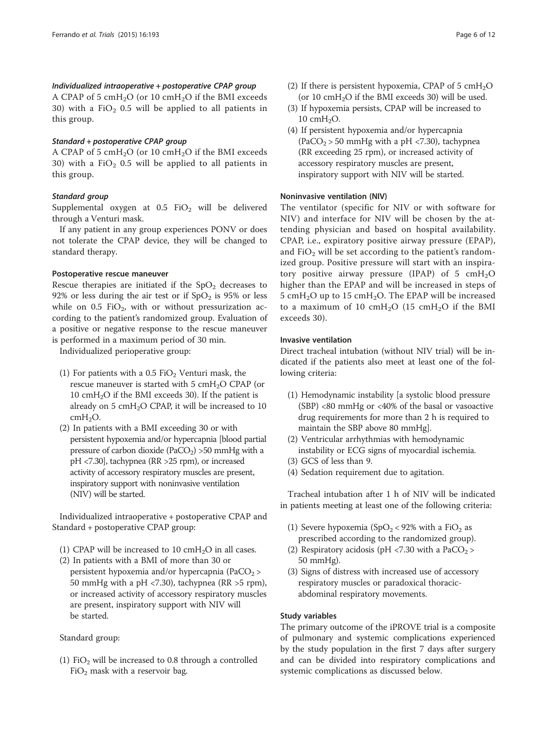# Individualized intraoperative + postoperative CPAP group

A CPAP of 5  $cmH<sub>2</sub>O$  (or 10  $cmH<sub>2</sub>O$  if the BMI exceeds 30) with a  $FiO<sub>2</sub>$  0.5 will be applied to all patients in this group.

# Standard + postoperative CPAP group

A CPAP of 5  $cmH<sub>2</sub>O$  (or 10  $cmH<sub>2</sub>O$  if the BMI exceeds 30) with a  $FiO<sub>2</sub>$  0.5 will be applied to all patients in this group.

# Standard group

Supplemental oxygen at  $0.5$  FiO<sub>2</sub> will be delivered through a Venturi mask.

If any patient in any group experiences PONV or does not tolerate the CPAP device, they will be changed to standard therapy.

#### Postoperative rescue maneuver

Rescue therapies are initiated if the  $SpO<sub>2</sub>$  decreases to 92% or less during the air test or if  $SpO<sub>2</sub>$  is 95% or less while on 0.5 FiO<sub>2</sub>, with or without pressurization according to the patient's randomized group. Evaluation of a positive or negative response to the rescue maneuver is performed in a maximum period of 30 min.

Individualized perioperative group:

- (1) For patients with a  $0.5$  FiO<sub>2</sub> Venturi mask, the rescue maneuver is started with  $5 \text{ cm}H_2O$  CPAP (or 10  $\text{cm}H_2\text{O}$  if the BMI exceeds 30). If the patient is already on  $5 \text{ cmH}_2\text{O}$  CPAP, it will be increased to 10  $cmH<sub>2</sub>O$ .
- (2) In patients with a BMI exceeding 30 or with persistent hypoxemia and/or hypercapnia [blood partial pressure of carbon dioxide (PaCO<sub>2</sub>) > 50 mmHg with a pH <7.30], tachypnea (RR >25 rpm), or increased activity of accessory respiratory muscles are present, inspiratory support with noninvasive ventilation (NIV) will be started.

Individualized intraoperative + postoperative CPAP and Standard + postoperative CPAP group:

- (1) CPAP will be increased to 10 cmH<sub>2</sub>O in all cases.
- (2) In patients with a BMI of more than 30 or persistent hypoxemia and/or hypercapnia (PaCO<sub>2</sub> > 50 mmHg with a pH <7.30), tachypnea (RR >5 rpm), or increased activity of accessory respiratory muscles are present, inspiratory support with NIV will be started.

#### Standard group:

(1) FiO<sub>2</sub> will be increased to 0.8 through a controlled  $FiO<sub>2</sub>$  mask with a reservoir bag.

- (2) If there is persistent hypoxemia, CPAP of 5  $\text{cm}H_2\text{O}$ (or  $10 \text{ cm}$ H<sub>2</sub>O if the BMI exceeds 30) will be used.
- (3) If hypoxemia persists, CPAP will be increased to  $10 \text{ cm}H_2O$ .
- (4) If persistent hypoxemia and/or hypercapnia (PaCO<sub>2</sub> > 50 mmHg with a pH <7.30), tachypnea (RR exceeding 25 rpm), or increased activity of accessory respiratory muscles are present, inspiratory support with NIV will be started.

# Noninvasive ventilation (NIV)

The ventilator (specific for NIV or with software for NIV) and interface for NIV will be chosen by the attending physician and based on hospital availability. CPAP, i.e., expiratory positive airway pressure (EPAP), and  $FiO<sub>2</sub>$  will be set according to the patient's randomized group. Positive pressure will start with an inspiratory positive airway pressure (IPAP) of 5  $cmH<sub>2</sub>O$ higher than the EPAP and will be increased in steps of 5 cmH<sub>2</sub>O up to 15 cmH<sub>2</sub>O. The EPAP will be increased to a maximum of 10  $\text{cm}H_2O$  (15  $\text{cm}H_2O$  if the BMI exceeds 30).

# Invasive ventilation

Direct tracheal intubation (without NIV trial) will be indicated if the patients also meet at least one of the following criteria:

- (1) Hemodynamic instability [a systolic blood pressure  $(SBP)$  <80 mmHg or <40% of the basal or vasoactive drug requirements for more than 2 h is required to maintain the SBP above 80 mmHg].
- (2) Ventricular arrhythmias with hemodynamic instability or ECG signs of myocardial ischemia.
- (3) GCS of less than 9.
- (4) Sedation requirement due to agitation.

Tracheal intubation after 1 h of NIV will be indicated in patients meeting at least one of the following criteria:

- (1) Severe hypoxemia (SpO<sub>2</sub> < 92% with a FiO<sub>2</sub> as prescribed according to the randomized group).
- (2) Respiratory acidosis (pH <7.30 with a  $PaCO<sub>2</sub>$ ) 50 mmHg).
- (3) Signs of distress with increased use of accessory respiratory muscles or paradoxical thoracicabdominal respiratory movements.

# Study variables

The primary outcome of the iPROVE trial is a composite of pulmonary and systemic complications experienced by the study population in the first 7 days after surgery and can be divided into respiratory complications and systemic complications as discussed below.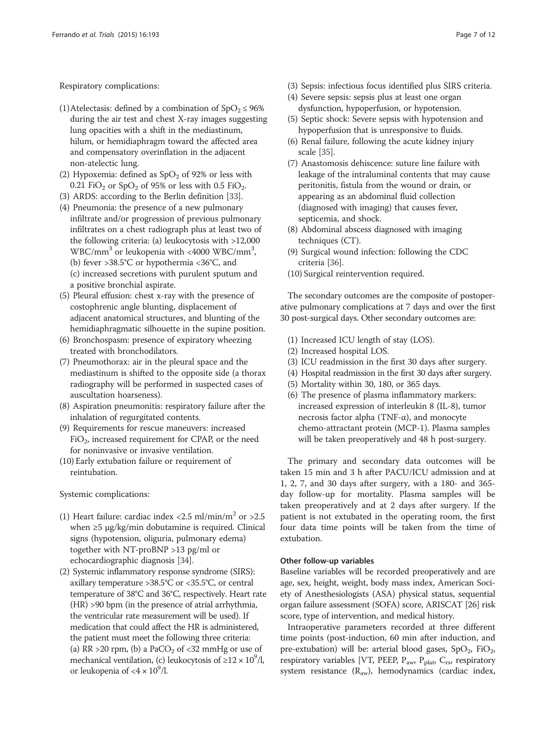Respiratory complications:

- (1)Atelectasis: defined by a combination of  $SpO<sub>2</sub> \le 96\%$ during the air test and chest X-ray images suggesting lung opacities with a shift in the mediastinum, hilum, or hemidiaphragm toward the affected area and compensatory overinflation in the adjacent non-atelectic lung.
- (2) Hypoxemia: defined as  $SpO<sub>2</sub>$  of 92% or less with 0.21 FiO<sub>2</sub> or SpO<sub>2</sub> of 95% or less with 0.5 FiO<sub>2</sub>.
- (3) ARDS: according to the Berlin definition [\[33\]](#page-10-0).
- (4) Pneumonia: the presence of a new pulmonary infiltrate and/or progression of previous pulmonary infiltrates on a chest radiograph plus at least two of the following criteria: (a) leukocytosis with >12,000  $WBC/mm^3$  or leukopenia with <4000 WBC/mm<sup>3</sup>, (b) fever >38.5°C or hypothermia <36°C, and (c) increased secretions with purulent sputum and a positive bronchial aspirate.
- (5) Pleural effusion: chest x-ray with the presence of costophrenic angle blunting, displacement of adjacent anatomical structures, and blunting of the hemidiaphragmatic silhouette in the supine position.
- (6) Bronchospasm: presence of expiratory wheezing treated with bronchodilators.
- (7) Pneumothorax: air in the pleural space and the mediastinum is shifted to the opposite side (a thorax radiography will be performed in suspected cases of auscultation hoarseness).
- (8) Aspiration pneumonitis: respiratory failure after the inhalation of regurgitated contents.
- (9) Requirements for rescue maneuvers: increased  $FiO<sub>2</sub>$ , increased requirement for CPAP, or the need for noninvasive or invasive ventilation.
- (10) Early extubation failure or requirement of reintubation.

Systemic complications:

- (1) Heart failure: cardiac index <2.5 ml/min/m<sup>2</sup> or >2.5 when ≥5 μg/kg/min dobutamine is required. Clinical signs (hypotension, oliguria, pulmonary edema) together with NT-proBNP >13 pg/ml or echocardiographic diagnosis [[34\]](#page-10-0).
- (2) Systemic inflammatory response syndrome (SIRS): axillary temperature >38.5°C or <35.5°C, or central temperature of 38°C and 36°C, respectively. Heart rate (HR) >90 bpm (in the presence of atrial arrhythmia, the ventricular rate measurement will be used). If medication that could affect the HR is administered, the patient must meet the following three criteria: (a) RR > 20 rpm, (b) a PaCO<sub>2</sub> of  $\langle$  -32 mmHg or use of mechanical ventilation, (c) leukocytosis of  $\geq$ 12 × 10<sup>9</sup>/l, or leukopenia of  $<$ 4  $\times$  10<sup>9</sup>/l.
- (3) Sepsis: infectious focus identified plus SIRS criteria.
- (4) Severe sepsis: sepsis plus at least one organ dysfunction, hypoperfusion, or hypotension.
- (5) Septic shock: Severe sepsis with hypotension and hypoperfusion that is unresponsive to fluids.
- (6) Renal failure, following the acute kidney injury scale [[35](#page-10-0)].
- (7) Anastomosis dehiscence: suture line failure with leakage of the intraluminal contents that may cause peritonitis, fistula from the wound or drain, or appearing as an abdominal fluid collection (diagnosed with imaging) that causes fever, septicemia, and shock.
- (8) Abdominal abscess diagnosed with imaging techniques (CT).
- (9) Surgical wound infection: following the CDC criteria [[36\]](#page-10-0).
- (10) Surgical reintervention required.

The secondary outcomes are the composite of postoperative pulmonary complications at 7 days and over the first 30 post-surgical days. Other secondary outcomes are:

- (1) Increased ICU length of stay (LOS).
- (2) Increased hospital LOS.
- (3) ICU readmission in the first 30 days after surgery.
- (4) Hospital readmission in the first 30 days after surgery.
- (5) Mortality within 30, 180, or 365 days.
- (6) The presence of plasma inflammatory markers: increased expression of interleukin 8 (IL-8), tumor necrosis factor alpha (TNF-α), and monocyte chemo-attractant protein (MCP-1). Plasma samples will be taken preoperatively and 48 h post-surgery.

The primary and secondary data outcomes will be taken 15 min and 3 h after PACU/ICU admission and at 1, 2, 7, and 30 days after surgery, with a 180- and 365 day follow-up for mortality. Plasma samples will be taken preoperatively and at 2 days after surgery. If the patient is not extubated in the operating room, the first four data time points will be taken from the time of extubation.

### Other follow-up variables

Baseline variables will be recorded preoperatively and are age, sex, height, weight, body mass index, American Society of Anesthesiologists (ASA) physical status, sequential organ failure assessment (SOFA) score, ARISCAT [[26](#page-10-0)] risk score, type of intervention, and medical history.

Intraoperative parameters recorded at three different time points (post-induction, 60 min after induction, and pre-extubation) will be: arterial blood gases,  $SpO<sub>2</sub>$ ,  $FiO<sub>2</sub>$ , respiratory variables [VT, PEEP,  $P_{aw}$ ,  $P_{plat}$ ,  $C_{rs}$ , respiratory system resistance  $(R_{aw})$ , hemodynamics (cardiac index,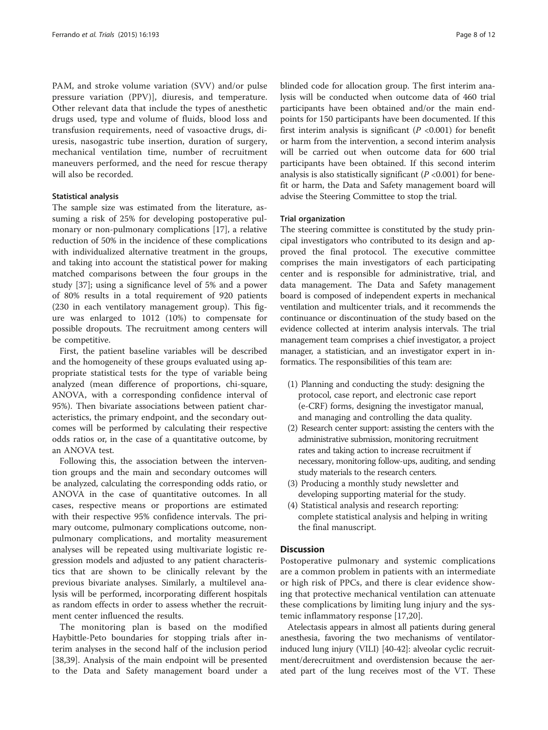PAM, and stroke volume variation (SVV) and/or pulse pressure variation (PPV)], diuresis, and temperature. Other relevant data that include the types of anesthetic drugs used, type and volume of fluids, blood loss and transfusion requirements, need of vasoactive drugs, diuresis, nasogastric tube insertion, duration of surgery, mechanical ventilation time, number of recruitment maneuvers performed, and the need for rescue therapy will also be recorded.

#### Statistical analysis

The sample size was estimated from the literature, assuming a risk of 25% for developing postoperative pulmonary or non-pulmonary complications [\[17](#page-10-0)], a relative reduction of 50% in the incidence of these complications with individualized alternative treatment in the groups, and taking into account the statistical power for making matched comparisons between the four groups in the study [\[37](#page-10-0)]; using a significance level of 5% and a power of 80% results in a total requirement of 920 patients (230 in each ventilatory management group). This figure was enlarged to 1012 (10%) to compensate for possible dropouts. The recruitment among centers will be competitive.

First, the patient baseline variables will be described and the homogeneity of these groups evaluated using appropriate statistical tests for the type of variable being analyzed (mean difference of proportions, chi-square, ANOVA, with a corresponding confidence interval of 95%). Then bivariate associations between patient characteristics, the primary endpoint, and the secondary outcomes will be performed by calculating their respective odds ratios or, in the case of a quantitative outcome, by an ANOVA test.

Following this, the association between the intervention groups and the main and secondary outcomes will be analyzed, calculating the corresponding odds ratio, or ANOVA in the case of quantitative outcomes. In all cases, respective means or proportions are estimated with their respective 95% confidence intervals. The primary outcome, pulmonary complications outcome, nonpulmonary complications, and mortality measurement analyses will be repeated using multivariate logistic regression models and adjusted to any patient characteristics that are shown to be clinically relevant by the previous bivariate analyses. Similarly, a multilevel analysis will be performed, incorporating different hospitals as random effects in order to assess whether the recruitment center influenced the results.

The monitoring plan is based on the modified Haybittle-Peto boundaries for stopping trials after interim analyses in the second half of the inclusion period [[38,39\]](#page-11-0). Analysis of the main endpoint will be presented to the Data and Safety management board under a

blinded code for allocation group. The first interim analysis will be conducted when outcome data of 460 trial participants have been obtained and/or the main endpoints for 150 participants have been documented. If this first interim analysis is significant ( $P < 0.001$ ) for benefit or harm from the intervention, a second interim analysis will be carried out when outcome data for 600 trial participants have been obtained. If this second interim analysis is also statistically significant ( $P < 0.001$ ) for benefit or harm, the Data and Safety management board will advise the Steering Committee to stop the trial.

#### Trial organization

The steering committee is constituted by the study principal investigators who contributed to its design and approved the final protocol. The executive committee comprises the main investigators of each participating center and is responsible for administrative, trial, and data management. The Data and Safety management board is composed of independent experts in mechanical ventilation and multicenter trials, and it recommends the continuance or discontinuation of the study based on the evidence collected at interim analysis intervals. The trial management team comprises a chief investigator, a project manager, a statistician, and an investigator expert in informatics. The responsibilities of this team are:

- (1) Planning and conducting the study: designing the protocol, case report, and electronic case report (e-CRF) forms, designing the investigator manual, and managing and controlling the data quality.
- (2) Research center support: assisting the centers with the administrative submission, monitoring recruitment rates and taking action to increase recruitment if necessary, monitoring follow-ups, auditing, and sending study materials to the research centers.
- (3) Producing a monthly study newsletter and developing supporting material for the study.
- (4) Statistical analysis and research reporting: complete statistical analysis and helping in writing the final manuscript.

### **Discussion**

Postoperative pulmonary and systemic complications are a common problem in patients with an intermediate or high risk of PPCs, and there is clear evidence showing that protective mechanical ventilation can attenuate these complications by limiting lung injury and the systemic inflammatory response [[17,20](#page-10-0)].

Atelectasis appears in almost all patients during general anesthesia, favoring the two mechanisms of ventilatorinduced lung injury (VILI) [\[40-42\]](#page-11-0): alveolar cyclic recruitment/derecruitment and overdistension because the aerated part of the lung receives most of the VT. These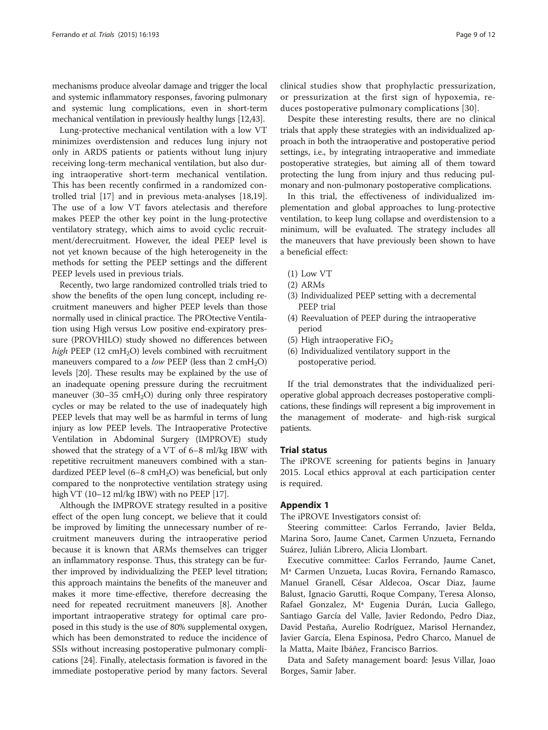mechanisms produce alveolar damage and trigger the local and systemic inflammatory responses, favoring pulmonary and systemic lung complications, even in short-term mechanical ventilation in previously healthy lungs [\[12](#page-10-0)[,43\]](#page-11-0).

Lung-protective mechanical ventilation with a low VT minimizes overdistension and reduces lung injury not only in ARDS patients or patients without lung injury receiving long-term mechanical ventilation, but also during intraoperative short-term mechanical ventilation. This has been recently confirmed in a randomized controlled trial [\[17](#page-10-0)] and in previous meta-analyses [\[18,19](#page-10-0)]. The use of a low VT favors atelectasis and therefore makes PEEP the other key point in the lung-protective ventilatory strategy, which aims to avoid cyclic recruitment/derecruitment. However, the ideal PEEP level is not yet known because of the high heterogeneity in the methods for setting the PEEP settings and the different PEEP levels used in previous trials.

Recently, two large randomized controlled trials tried to show the benefits of the open lung concept, including recruitment maneuvers and higher PEEP levels than those normally used in clinical practice. The PROtective Ventilation using High versus Low positive end-expiratory pressure (PROVHILO) study showed no differences between high PEEP (12  $cmH<sub>2</sub>O$ ) levels combined with recruitment maneuvers compared to a *low* PEEP (less than 2 cmH<sub>2</sub>O) levels [\[20\]](#page-10-0). These results may be explained by the use of an inadequate opening pressure during the recruitment maneuver  $(30-35 \text{ cmH}_2\text{O})$  during only three respiratory cycles or may be related to the use of inadequately high PEEP levels that may well be as harmful in terms of lung injury as low PEEP levels. The Intraoperative Protective Ventilation in Abdominal Surgery (IMPROVE) study showed that the strategy of a VT of 6–8 ml/kg IBW with repetitive recruitment maneuvers combined with a standardized PEEP level  $(6-8 \text{ cmH}_2\text{O})$  was beneficial, but only compared to the nonprotective ventilation strategy using high VT (10-12 ml/kg IBW) with no PEEP [\[17\]](#page-10-0).

Although the IMPROVE strategy resulted in a positive effect of the open lung concept, we believe that it could be improved by limiting the unnecessary number of recruitment maneuvers during the intraoperative period because it is known that ARMs themselves can trigger an inflammatory response. Thus, this strategy can be further improved by individualizing the PEEP level titration; this approach maintains the benefits of the maneuver and makes it more time-effective, therefore decreasing the need for repeated recruitment maneuvers [[8\]](#page-10-0). Another important intraoperative strategy for optimal care proposed in this study is the use of 80% supplemental oxygen, which has been demonstrated to reduce the incidence of SSIs without increasing postoperative pulmonary complications [[24\]](#page-10-0). Finally, atelectasis formation is favored in the immediate postoperative period by many factors. Several

clinical studies show that prophylactic pressurization, or pressurization at the first sign of hypoxemia, reduces postoperative pulmonary complications [\[30](#page-10-0)].

Despite these interesting results, there are no clinical trials that apply these strategies with an individualized approach in both the intraoperative and postoperative period settings, i.e., by integrating intraoperative and immediate postoperative strategies, but aiming all of them toward protecting the lung from injury and thus reducing pulmonary and non-pulmonary postoperative complications.

In this trial, the effectiveness of individualized implementation and global approaches to lung-protective ventilation, to keep lung collapse and overdistension to a minimum, will be evaluated. The strategy includes all the maneuvers that have previously been shown to have a beneficial effect:

- (1) Low VT
- (2) ARMs
- (3) Individualized PEEP setting with a decremental PEEP trial
- (4) Reevaluation of PEEP during the intraoperative period
- (5) High intraoperative  $FiO<sub>2</sub>$
- (6) Individualized ventilatory support in the postoperative period.

If the trial demonstrates that the individualized perioperative global approach decreases postoperative complications, these findings will represent a big improvement in the management of moderate- and high-risk surgical patients.

#### Trial status

The iPROVE screening for patients begins in January 2015. Local ethics approval at each participation center is required.

# Appendix 1

The iPROVE Investigators consist of:

Steering committee: Carlos Ferrando, Javier Belda, Marina Soro, Jaume Canet, Carmen Unzueta, Fernando Suárez, Julián Librero, Alicia Llombart.

Executive committee: Carlos Ferrando, Jaume Canet, Mª Carmen Unzueta, Lucas Rovira, Fernando Ramasco, Manuel Granell, César Aldecoa, Oscar Diaz, Jaume Balust, Ignacio Garutti, Roque Company, Teresa Alonso, Rafael Gonzalez, Mª Eugenia Durán, Lucia Gallego, Santiago García del Valle, Javier Redondo, Pedro Diaz, David Pestaña, Aurelio Rodríguez, Marisol Hernandez, Javier García, Elena Espinosa, Pedro Charco, Manuel de la Matta, Maite Ibáñez, Francisco Barrios.

Data and Safety management board: Jesus Villar, Joao Borges, Samir Jaber.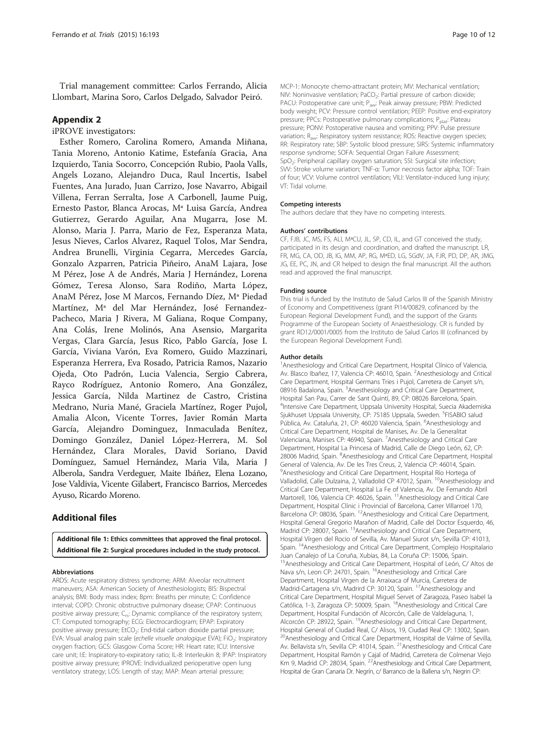<span id="page-9-0"></span>Trial management committee: Carlos Ferrando, Alicia Llombart, Marina Soro, Carlos Delgado, Salvador Peiró.

# Appendix 2

iPROVE investigators:

Esther Romero, Carolina Romero, Amanda Miñana, Tania Moreno, Antonio Katime, Estefanía Gracia, Ana Izquierdo, Tania Socorro, Concepción Rubio, Paola Valls, Angels Lozano, Alejandro Duca, Raul Incertis, Isabel Fuentes, Ana Jurado, Juan Carrizo, Jose Navarro, Abigail Villena, Ferran Serralta, Jose A Carbonell, Jaume Puig, Ernesto Pastor, Blanca Arocas, Mª Luisa García, Andrea Gutierrez, Gerardo Aguilar, Ana Mugarra, Jose M. Alonso, Maria J. Parra, Mario de Fez, Esperanza Mata, Jesus Nieves, Carlos Alvarez, Raquel Tolos, Mar Sendra, Andrea Brunelli, Virginia Cegarra, Mercedes García, Gonzalo Azparren, Patricia Piñeiro, AnaM Lajara, Jose M Pérez, Jose A de Andrés, Maria J Hernández, Lorena Gómez, Teresa Alonso, Sara Rodiño, Marta López, AnaM Pérez, Jose M Marcos, Fernando Díez, Mª Piedad Martínez, Mª del Mar Hernández, José Fernandez-Pacheco, Maria J Rivera, M Galiana, Roque Company, Ana Colás, Irene Molinós, Ana Asensio, Margarita Vergas, Clara García, Jesus Rico, Pablo García, Jose I. García, Viviana Varón, Eva Romero, Guido Mazzinari, Esperanza Herrera, Eva Rosado, Patricia Ramos, Nazario Ojeda, Oto Padrón, Lucia Valencia, Sergio Cabrera, Rayco Rodríguez, Antonio Romero, Ana González, Jessica García, Nilda Martinez de Castro, Cristina Medrano, Nuria Mané, Graciela Martínez, Roger Pujol, Amalia Alcon, Vicente Torres, Javier Román Marta García, Alejandro Dominguez, Inmaculada Benítez, Domingo González, Daniel López-Herrera, M. Sol Hernández, Clara Morales, David Soriano, David Domínguez, Samuel Hernández, Maria Vila, Maria J Alberola, Sandra Verdeguer, Maite Ibáñez, Elena Lozano, Jose Valdivia, Vicente Gilabert, Francisco Barrios, Mercedes Ayuso, Ricardo Moreno.

# Additional files

[Additional file 1:](http://www.trialsjournal.com/content/supplementary/s13063-015-0694-1-s1.docx) Ethics committees that approved the final protocol. [Additional file 2:](http://www.trialsjournal.com/content/supplementary/s13063-015-0694-1-s2.docx) Surgical procedures included in the study protocol.

#### Abbreviations

ARDS: Acute respiratory distress syndrome; ARM: Alveolar recruitment maneuvers; ASA: American Society of Anesthesiologists; BIS: Bispectral analysis; BMI: Body mass index; Bpm: Breaths per minute; C: Confidence interval; COPD: Chronic obstructive pulmonary disease; CPAP: Continuous positive airway pressure; C<sub>rs</sub>: Dynamic compliance of the respiratory system; CT: Computed tomography; ECG: Electrocardiogram; EPAP: Expiratory positive airway pressure; EtCO<sub>2</sub>: End-tidal carbon dioxide partial pressure; EVA: Visual analog pain scale (echelle visuelle analogique EVA); FiO<sub>2</sub>: Inspiratory oxygen fraction; GCS: Glasgow Coma Score; HR: Heart rate; ICU: Intensive care unit; I:E: Inspiratory-to-expiratory ratio; IL-8: Interleukin 8; IPAP: Inspiratory positive airway pressure; IPROVE: Individualized perioperative open lung ventilatory strategy; LOS: Length of stay; MAP: Mean arterial pressure;

MCP-1: Monocyte chemo-attractant protein; MV: Mechanical ventilation; NIV: Noninvasive ventilation; PaCO<sub>2</sub>: Partial pressure of carbon dioxide; PACU: Postoperative care unit; P<sub>aw</sub>: Peak airway pressure; PBW: Predicted body weight; PCV: Pressure control ventilation; PEEP: Positive end-expiratory pressure; PPCs: Postoperative pulmonary complications; P<sub>plat</sub>: Plateau pressure; PONV: Postoperative nausea and vomiting; PPV: Pulse pressure variation; Raw: Respiratory system resistance; ROS: Reactive oxygen species; RR: Respiratory rate; SBP: Systolic blood pressure; SIRS: Systemic inflammatory response syndrome; SOFA: Sequential Organ Failure Assessment; SpO<sub>2</sub>: Peripheral capillary oxygen saturation: SSI: Surgical site infection: SVV: Stroke volume variation; TNF-α: Tumor necrosis factor alpha; TOF: Train of four; VCV: Volume control ventilation; VILI: Ventilator-induced lung injury; VT: Tidal volume.

#### Competing interests

The authors declare that they have no competing interests.

#### Authors' contributions

CF, FJB, JC, MS, FS, ALl, MªCU, JL, SP, CD, IL, and GT conceived the study, participated in its design and coordination, and drafted the manuscript. LR, FR, MG, CA, OD, JB, IG, MM, AP, RG, MªED, LG, SGdV, JA, FJR, PD, DP, AR, JMG, JG, EE, PC, JN, and CR helped to design the final manuscript. All the authors read and approved the final manuscript.

#### Funding source

This trial is funded by the Instituto de Salud Carlos III of the Spanish Ministry of Economy and Competitiveness (grant PI14/00829, cofinanced by the European Regional Development Fund), and the support of the Grants Programme of the European Society of Anaesthesiology. CR is funded by grant RD12/0001/0005 from the Instituto de Salud Carlos III (cofinanced by the European Regional Development Fund).

#### Author details

<sup>1</sup> Anesthesiology and Critical Care Department, Hospital Clínico of Valencia Av. Blasco Ibañez, 17, Valencia CP: 46010, Spain. <sup>2</sup>Anesthesiology and Critical Care Department, Hospital Germans Tries i Pujol, Carretera de Canyet s/n, 08916 Badalona, Spain. <sup>3</sup>Anesthesiology and Critical Care Department, Hospital San Pau, Carrer de Sant Quintí, 89, CP: 08026 Barcelona, Spain. 4 Intensive Care Department, Uppsala University Hospital, Suecia Akademiska Sjukhuset Uppsala University, CP: 75185 Uppsala, Sweden. <sup>5</sup>FISABIO salud Pública, Av. Cataluña, 21, CP: 46020 Valencia, Spain. <sup>6</sup>Anesthesiology and Critical Care Department, Hospital de Manises, Av. De la Generalitat Valenciana, Manises CP: 46940, Spain. <sup>7</sup> Anesthesiology and Critical Care Department, Hospital La Princesa of Madrid, Calle de Diego León, 62, CP: 28006 Madrid, Spain. <sup>8</sup>Anesthesiology and Critical Care Department, Hospital General of Valencia, Av. De les Tres Creus, 2, Valencia CP: 46014, Spain. <sup>9</sup> Anesthesiology and Critical Care Department, Hospital Río Hortega of Valladolid, Calle Dulzaina, 2, Valladolid CP 47012, Spain. <sup>10</sup>Anesthesiology and Critical Care Department, Hospital La Fe of Valencia, Av. De Fernando Abril Martorell, 106, Valencia CP: 46026, Spain. <sup>11</sup>Anesthesiology and Critical Care Department, Hospital Clínic i Provincial of Barcelona, Carrer Villarroel 170, Barcelona CP: 08036, Spain. 12Anesthesiology and Critical Care Department, Hospital General Gregorio Marañon of Madrid, Calle del Doctor Esquerdo, 46, Madrid CP: 28007, Spain. <sup>13</sup> Anesthesiology and Critical Care Department, Hospital Vírgen del Rocio of Sevilla, Av. Manuel Siurot s/n, Sevilla CP: 41013, Spain. 14Anesthesiology and Critical Care Department, Complejo Hospitalario Juan Canalejo of La Coruña, Xubias, 84, La Coruña CP: 15006, Spain. 15Anesthesiology and Critical Care Department, Hospital of León, C/ Altos de Nava s/n, Leon CP: 24701, Spain. <sup>16</sup>Anesthesiology and Critical Care Department, Hospital Vírgen de la Arraixaca of Murcia, Carretera de Madrid-Cartagena s/n, Madrird CP: 30120, Spain. 17Anesthesiology and Critical Care Department, Hospital Miguel Servet of Zaragoza, Paseo Isabel la Católica, 1-3, Zaragoza CP: 50009, Spain. 18Anesthesiology and Critical Care Department, Hospital Fundación of Alcorcón, Calle de Valdelaguna, 1, Alcorcón CP: 28922, Spain. 19Anesthesiology and Critical Care Department, Hospital General of Ciudad Real, C/ Alisos, 19, Ciudad Real CP: 13002, Spain. <sup>20</sup>Anesthesiology and Critical Care Department, Hospital de Valme of Sevilla, Av. Bellavista s/n, Sevilla CP: 41014, Spain. <sup>21</sup> Anesthesiology and Critical Care Department, Hospital Ramón y Cajal of Madrid, Carretera de Colmenar Viejo Km 9, Madrid CP: 28034, Spain. <sup>22</sup> Anesthesiology and Critical Care Department, Hospital de Gran Canaria Dr. Negrín, c/ Barranco de la Ballena s/n, Negrin CP: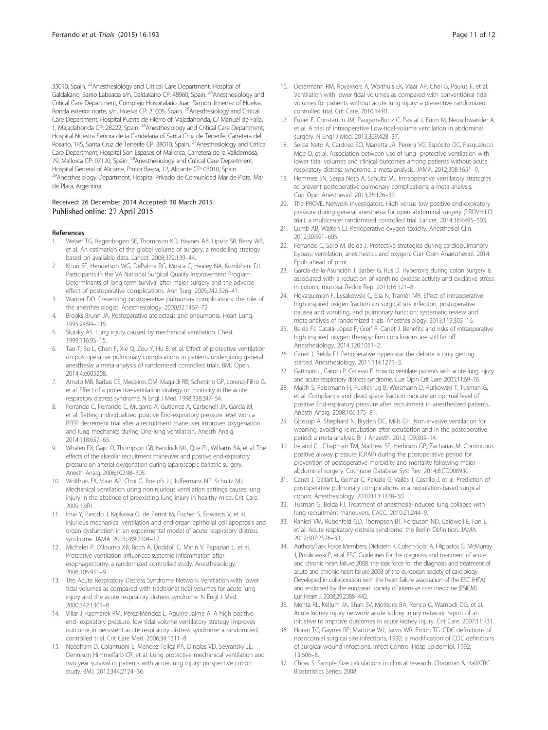<span id="page-10-0"></span>35010, Spain. <sup>23</sup>Anesthesiology and Critical Care Department, Hospital of Galdakano, Barrio Labeaga s/n, Galdakano CP: 48960, Spain. 24Anesthesiology and Critical Care Department, Complejo Hospitalario Juan Ramón Jimenez of Huelva, Ronda exterior norte, s/n, Huelva CP: 21005, Spain. <sup>25</sup>Anesthesiology and Critical Care Department, Hospital Puerta de Hierro of Majadahonda, C/ Manuel de Falla, 1, Majadahonda CP: 28222, Spain. <sup>26</sup>Anesthesiology and Critical Care Department, Hospital Nuestra Señora de la Candelaria of Santa Cruz de Tenerife, Carretera del Rosario, 145, Santa Cruz de Tenerife CP: 38010, Spain. 27Anesthesiology and Critical Care Department, Hospital Son Espases of Mallorca, Carretera de la Valldemosa, 79, Mallorca CP: 07120, Spain. <sup>28</sup> Anesthesiology and Critical Care Department, Hospital General of Alicante, Pintor Baeza, 12, Alicante CP: 03010, Spain. 29Anesthesiology Department, Hospital Privado de Comunidad Mar de Plata, Mar de Plata, Argentina.

#### Received: 26 December 2014 Accepted: 30 March 2015 Published online: 27 April 2015

#### References

- 1. Weiser TG, Regenbogen SE, Thompson KD, Haynes AB, Lipsitz SR, Berry WR, et al. An estimation of the global volume of surgery: a modelling strategy based on available data. Lancet. 2008;372:139–44.
- 2. Khuri SF, Henderson WG, DePalma RG, Mosca C, Healey NA, Kumbhani DJ. Participants in the VA National Surgical Quality Improvement Program. Determinants of long-term survival after major surgery and the adverse effect of postoperative complications. Ann Surg. 2005;242:326–41.
- 3. Warner DO. Preventing postoperative pulmonary complications: the role of the anesthesiologist. Anesthesiology. 2000;92:1467–72.
- 4. Brooks-Brunn JA. Postoperative atelectasis and pneumonia. Heart Lung. 1995;24:94–115.
- 5. Slutsky AS. Lung injury caused by mechanical ventilation. Chest. 1999;116:9S–15.
- 6. Tao T, Bo L, Chen F, Xie Q, Zou Y, Hu B, et al. Effect of protective ventilation on postoperative pulmonary complications in patients undergoing general anesthesia: a meta-analysis of randomised controlled trials. BMJ Open. 2014;4:e005208.
- 7. Amato MB, Barbas CS, Medeiros DM, Magaldi RB, Schettino GP, Lorenzi-Filho G, et al. Effect of a protective-ventilation strategy on mortality in the acute respiratory distress syndrome. N Engl J Med. 1998;338:347–54.
- 8. Ferrando C, Ferrando C, Mugarra A, Gutierrez A, Carbonell JA, García M, et al. Setting individualized positive End-expiratory pressure level with a PEEP decrement trial after a recruitment maneuver improves oxygenation and lung mechanics during One-lung ventilation. Anesth Analg. 2014;118:657–65.
- 9. Whalen FX, Gajic O, Thompson GB, Kendrick ML, Que FL, Williams BA, et al. The effects of the alveolar recruitment maneuver and positive end-expiratory pressure on arterial oxygenation during laparoscopic bariatric surgery. Anesth Analg. 2006;102:98–305.
- 10. Wolthuis EK, Vlaar AP, Choi G, Roelofs JJ, Juffermans NP, Schultz MJ. Mechanical ventilation using noninjurious ventilation settings causes lung injury in the absence of preexisting lung injury in healthy mice. Crit Care. 2009;13:R1.
- 11. Imai Y, Parodo J, Kajikawa O, de Perrot M, Fischer S, Edwards V, et al. Injurious mechanical ventilation and end-organ epithelial cell apoptosis and organ dysfunction in an experimental model of acute respiratory distress syndrome. JAMA. 2003;289:2104–12.
- 12. Michelet P, D'Journo XB, Roch A, Doddoli C, Marin V, Papazian L, et al. Protective ventilation influences systemic inflammation after esophagectomy: a randomized controlled study. Anesthesiology. 2006;105:911–9.
- 13. The Acute Respiratory Distress Syndrome Network. Ventilation with lower tidal volumes as compared with traditional tidal volumes for acute lung injury and the acute respiratory distress syndrome. N Engl J Med. 2000;342:1301–8.
- 14. Villar J, Kacmarek RM, Pérez-Méndez L, Aguirre-Jaime A. A high positive end- expiratory pressure, low tidal volume ventilatory strategy improves outcome in persistent acute respiratory distress syndrome: a randomized, controlled trial. Crit Care Med. 2006;34:1311–8.
- 15. Needham D, Colantuoni E, Mendez-Tellez PA, Dinglas VD, Sevransky JE, Dennison Himmelfarb CR, et al. Lung protective mechanical ventilation and two year survival in patients with acute lung injury: prospective cohort study. BMJ. 2012;344:2124–36.
- 16. Determann RM, Royakkers A, Wolthuis EK, Vlaar AP, Choi G, Paulus F, et al. Ventilation with lower tidal volumes as compared with conventional tidal volumes for patients without acute lung injury: a preventive randomized controlled trial. Crit Care. 2010;14:R1.
- 17. Futier E, Constantin JM, Paugam-Burtz C, Pascal J, Eurin M, Neuschwander A, et al. A trial of intraoperative Low-tidal-volume ventilation in abdominal surgery. N Engl J Med. 2013;369:428–37.
- 18. Serpa Neto A, Cardoso SO, Manetta JA, Pereira VG, Espósito DC, Pasqualucci Mde O, et al. Association between use of lung- protective ventilation with lower tidal volumes and clinical outcomes among patients without acute respiratory distress syndrome: a meta-analysis. JAMA. 2012;308:1651–9.
- 19. Hemmes SN, Serpa Neto A, Schultz MJ. Intraoperative ventilatory strategies to prevent postoperative pulmonary complications: a meta-analysis. Curr Opin Anesthesiol. 2013;26:126–33.
- 20. The PROVE. Network investigators. High versus low positive end-expiratory pressure during general anesthesia for open abdominal surgery (PROVHILO trial): a multicenter randomised controlled trial. Lancet. 2014;384:495–503.
- 21. Lumb AB, Walton LJ. Perioperative oxygen toxicity. Anesthesiol Clin. 2012;30:591–605.
- 22. Ferrando C, Soro M, Belda J. Protective strategies during cardiopulmanory bypass: ventilation, anesthestics and oxygen. Curr Opin Anaesthesiol. 2014. Epub ahead of print.
- 23. García-de-la-Asunción J, Barber G, Rus D. Hyperoxia during colon surgery is associated with a reduction of xanthine oxidase activity and oxidative stress in colonic mucosa. Redox Rep. 2011;16:121–8.
- 24. Hovaguimian F, Lysakowski C, Elia N, Tramèr MR. Effect of intraoperative high inspired oxigen fraction on surgical site infection, postoperative nausea and vomiting, and pulmonary function: systematic review and meta-analysis of randomized trials. Anesthesiology. 2013;119:303–16.
- 25. Belda FJ, Catalá-López F, Greif R, Canet J. Benefits and risks of intraoperative high inspired oxygen therapy: firm conclusions are still far off. Anesthesiology. 2014;120:1051–2.
- 26. Canet J, Belda FJ. Perioperative hyperoxia: the debate is only getting started. Anesthesiology. 2011;114:1271–3.
- 27. Gattinoni L, Caironi P, Carlesso E. How to ventilate patients with acute lung injury and acute respiratory distress syndrome. Curr Opin Crit Care. 2005;11:69–76.
- 28. Maish S, Reissmann H, Fuellekrug B, Weismann D, Rutkowski T, Tusman G, et al. Compliance and dead space fraction indicate an optimal level of positive End-expiratory pressure after recruitment in anesthetized patients. Anesth Analg. 2008;106:175–81.
- 29. Glossop A, Shephard N, Bryden DC, Mills GH. Non-invasive ventilation for weaning, avoiding reintubation after extubation and in the postoperative period: a meta-analysis. Br J Anaesth. 2012;109:305–14.
- 30. Ireland CJ, Chapman TM, Mathew SF, Herbison GP, Zacharias M. Continuous positive airway pressure (CPAP) during the postoperative period for prevention of postoperative morbidity and mortality following major abdominal surgery. Cochrane Database Syst Rev. 2014;8:CD008930.
- 31. Canet J, Gallart L, Gomar C, Paluzie G, Vallès J, Castillo J, et al. Prediction of postoperative pulmonary complications in a population-based surgical cohort. Anesthesiology. 2010;113:1338–50.
- 32. Tusman G, Belda FJ. Treatment of anesthesia-induced lung collapse with lung recruitment maneuvers. CACC. 2010;21:244–9.
- 33. Ranieri VM, Rubenfeld GD, Thompson BT, Ferguson ND, Caldwell E, Fan E, et al. Acute respiratory distress syndrome: the Berlin Definition. JAMA. 2012;307:2526–33.
- 34. Authors/Task Force Members, Dickstein K, Cohen-Solal A, Filippatos G, McMurray J, Ponikowski P, et al. ESC. Guidelines for the diagnosis and treatment of acute and chronic heart failure 2008: the task force for the diagnosis and treatment of acute and chronic heart failure 2008 of the european society of cardiology. Developed in collaboration with the heart failure association of the ESC (HFA) and endorsed by the european society of intensive care medicine (ESICM). Eur Heart J. 2008;29:2388–442.
- 35. Mehta RL, Kellum JA, Shah SV, Molitoris BA, Ronco C, Warnock DG, et al. Acute kidney injury network: acute kidney injury network: report of an initiative to improve outcomes in acute kidney injury. Crit Care. 2007;11:R31.
- 36. Horan TC, Gaynes RP, Martone WJ, Jarvis WR, Emori TG. CDC definitions of nosocomial surgical site infections, 1992: a modification of CDC definitions of surgical wound infections. Infect Control Hosp Epidemiol. 1992; 13:606–8.
- 37. Chow S. Sample Size calculations in clinical research. Chapman & Hall/CRC Biostatistics Series; 2008